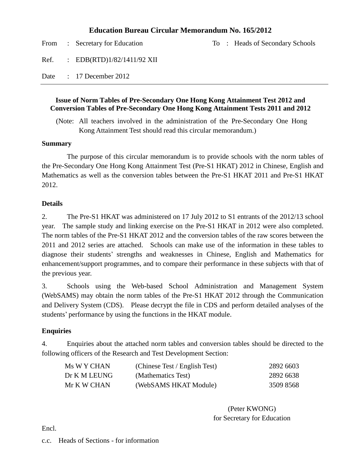## **Education Bureau Circular Memorandum No. 165/2012**

|  | From : Secretary for Education    |  | To : Heads of Secondary Schools |
|--|-----------------------------------|--|---------------------------------|
|  | Ref. : $EDB(RTD)1/82/1411/92$ XII |  |                                 |
|  | Date: 17 December 2012            |  |                                 |

### **Issue of Norm Tables of Pre-Secondary One Hong Kong Attainment Test 2012 and Conversion Tables of Pre-Secondary One Hong Kong Attainment Tests 2011 and 2012**

(Note: All teachers involved in the administration of the Pre-Secondary One Hong Kong Attainment Test should read this circular memorandum.)

#### **Summary**

The purpose of this circular memorandum is to provide schools with the norm tables of the Pre-Secondary One Hong Kong Attainment Test (Pre-S1 HKAT) 2012 in Chinese, English and Mathematics as well as the conversion tables between the Pre-S1 HKAT 2011 and Pre-S1 HKAT 2012.

### **Details**

2. The Pre-S1 HKAT was administered on 17 July 2012 to S1 entrants of the 2012/13 school year. The sample study and linking exercise on the Pre-S1 HKAT in 2012 were also completed. The norm tables of the Pre-S1 HKAT 2012 and the conversion tables of the raw scores between the 2011 and 2012 series are attached. Schools can make use of the information in these tables to diagnose their students' strengths and weaknesses in Chinese, English and Mathematics for enhancement/support programmes, and to compare their performance in these subjects with that of the previous year.

3. Schools using the Web-based School Administration and Management System (WebSAMS) may obtain the norm tables of the Pre-S1 HKAT 2012 through the Communication and Delivery System (CDS). Please decrypt the file in CDS and perform detailed analyses of the students' performance by using the functions in the HKAT module.

## **Enquiries**

4. Enquiries about the attached norm tables and conversion tables should be directed to the following officers of the Research and Test Development Section:

| Ms W Y CHAN  | (Chinese Test / English Test) | 2892 6603 |
|--------------|-------------------------------|-----------|
| Dr K M LEUNG | (Mathematics Test)            | 2892 6638 |
| Mr K W CHAN  | (WebSAMS HKAT Module)         | 3509 8568 |

(Peter KWONG) for Secretary for Education

Encl.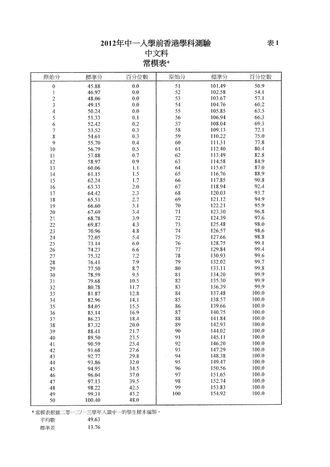中文科 常模表\*

| 50.9<br>0.0<br>51<br>101.49<br>$\pmb{0}$<br>45.88<br>52<br>54.1<br>46.97<br>0.0<br>102.58<br>1<br>57.1<br>$\overline{c}$<br>53<br>103.67<br>48.06<br>0.0<br>3<br>54<br>60.2<br>0.0<br>104.76<br>49.15<br>55<br>63.5<br>4<br>0.0<br>105.85<br>50.24<br>56<br>66.3<br>5<br>0.1<br>106.94<br>51.33<br>57<br>69.3<br>6<br>0.2<br>108.04<br>52.42<br>58<br>72.1<br>0.3<br>109.13<br>7<br>53.52<br>75.0<br>59<br>110.22<br>0.3<br>8<br>54.61<br>77.8<br>0.4<br>60<br>111.31<br>9<br>55.70<br>80.4<br>112.40<br>0.5<br>61<br>10<br>56.79<br>82.8<br>0.7<br>62<br>113.49<br>57.88<br>11<br>84.9<br>63<br>114.58<br>0.9<br>12<br>58.97<br>64<br>87.0<br>115.67<br>1.1<br>13<br>60.06<br>88.9<br>65<br>1.5<br>116.76<br>14<br>61.15<br>66<br>90.8<br>1.7<br>117.85<br>15<br>62.24<br>92.4<br>67<br>118.94<br>2.0<br>16<br>63.33<br>93.7<br>68<br>2.3<br>120.03<br>17<br>64.42<br>94.9<br>69<br>2.7<br>121.12<br>18<br>65.51 | 原始分 | 標準分   | 百分位數 | 原始分 | 標準分    | 百分位數 |
|-------------------------------------------------------------------------------------------------------------------------------------------------------------------------------------------------------------------------------------------------------------------------------------------------------------------------------------------------------------------------------------------------------------------------------------------------------------------------------------------------------------------------------------------------------------------------------------------------------------------------------------------------------------------------------------------------------------------------------------------------------------------------------------------------------------------------------------------------------------------------------------------------------------------|-----|-------|------|-----|--------|------|
|                                                                                                                                                                                                                                                                                                                                                                                                                                                                                                                                                                                                                                                                                                                                                                                                                                                                                                                   |     |       |      |     |        |      |
|                                                                                                                                                                                                                                                                                                                                                                                                                                                                                                                                                                                                                                                                                                                                                                                                                                                                                                                   |     |       |      |     |        |      |
|                                                                                                                                                                                                                                                                                                                                                                                                                                                                                                                                                                                                                                                                                                                                                                                                                                                                                                                   |     |       |      |     |        |      |
|                                                                                                                                                                                                                                                                                                                                                                                                                                                                                                                                                                                                                                                                                                                                                                                                                                                                                                                   |     |       |      |     |        |      |
|                                                                                                                                                                                                                                                                                                                                                                                                                                                                                                                                                                                                                                                                                                                                                                                                                                                                                                                   |     |       |      |     |        |      |
|                                                                                                                                                                                                                                                                                                                                                                                                                                                                                                                                                                                                                                                                                                                                                                                                                                                                                                                   |     |       |      |     |        |      |
|                                                                                                                                                                                                                                                                                                                                                                                                                                                                                                                                                                                                                                                                                                                                                                                                                                                                                                                   |     |       |      |     |        |      |
|                                                                                                                                                                                                                                                                                                                                                                                                                                                                                                                                                                                                                                                                                                                                                                                                                                                                                                                   |     |       |      |     |        |      |
|                                                                                                                                                                                                                                                                                                                                                                                                                                                                                                                                                                                                                                                                                                                                                                                                                                                                                                                   |     |       |      |     |        |      |
|                                                                                                                                                                                                                                                                                                                                                                                                                                                                                                                                                                                                                                                                                                                                                                                                                                                                                                                   |     |       |      |     |        |      |
|                                                                                                                                                                                                                                                                                                                                                                                                                                                                                                                                                                                                                                                                                                                                                                                                                                                                                                                   |     |       |      |     |        |      |
|                                                                                                                                                                                                                                                                                                                                                                                                                                                                                                                                                                                                                                                                                                                                                                                                                                                                                                                   |     |       |      |     |        |      |
|                                                                                                                                                                                                                                                                                                                                                                                                                                                                                                                                                                                                                                                                                                                                                                                                                                                                                                                   |     |       |      |     |        |      |
|                                                                                                                                                                                                                                                                                                                                                                                                                                                                                                                                                                                                                                                                                                                                                                                                                                                                                                                   |     |       |      |     |        |      |
|                                                                                                                                                                                                                                                                                                                                                                                                                                                                                                                                                                                                                                                                                                                                                                                                                                                                                                                   |     |       |      |     |        |      |
|                                                                                                                                                                                                                                                                                                                                                                                                                                                                                                                                                                                                                                                                                                                                                                                                                                                                                                                   |     |       |      |     |        |      |
|                                                                                                                                                                                                                                                                                                                                                                                                                                                                                                                                                                                                                                                                                                                                                                                                                                                                                                                   |     |       |      |     |        |      |
|                                                                                                                                                                                                                                                                                                                                                                                                                                                                                                                                                                                                                                                                                                                                                                                                                                                                                                                   |     |       |      |     |        |      |
|                                                                                                                                                                                                                                                                                                                                                                                                                                                                                                                                                                                                                                                                                                                                                                                                                                                                                                                   |     |       |      |     |        |      |
|                                                                                                                                                                                                                                                                                                                                                                                                                                                                                                                                                                                                                                                                                                                                                                                                                                                                                                                   | 19  | 66.60 | 3.1  | 70  | 122.21 | 95.9 |
| 123.30<br>96.8<br>71<br>67.69<br>3.4<br>20                                                                                                                                                                                                                                                                                                                                                                                                                                                                                                                                                                                                                                                                                                                                                                                                                                                                        |     |       |      |     |        |      |
| 72<br>97.6<br>124.39<br>3.9<br>68.78<br>21                                                                                                                                                                                                                                                                                                                                                                                                                                                                                                                                                                                                                                                                                                                                                                                                                                                                        |     |       |      |     |        |      |
| 73<br>98.0<br>125.48<br>4.3<br>69.87<br>22                                                                                                                                                                                                                                                                                                                                                                                                                                                                                                                                                                                                                                                                                                                                                                                                                                                                        |     |       |      |     |        |      |
| 74<br>98.6<br>126.57<br>4.8<br>70.96<br>23                                                                                                                                                                                                                                                                                                                                                                                                                                                                                                                                                                                                                                                                                                                                                                                                                                                                        |     |       |      |     |        |      |
| 98.8<br>75<br>5.4<br>127.66<br>72.05<br>24                                                                                                                                                                                                                                                                                                                                                                                                                                                                                                                                                                                                                                                                                                                                                                                                                                                                        |     |       |      |     |        |      |
| 99.1<br>76<br>128.75<br>6.0<br>73.14<br>25                                                                                                                                                                                                                                                                                                                                                                                                                                                                                                                                                                                                                                                                                                                                                                                                                                                                        |     |       |      |     |        |      |
| 99.4<br>77<br>129.84<br>6.6<br>74.23<br>26                                                                                                                                                                                                                                                                                                                                                                                                                                                                                                                                                                                                                                                                                                                                                                                                                                                                        |     |       |      |     |        |      |
| 99.6<br>78<br>130.93<br>$7.2\,$<br>75.32<br>27                                                                                                                                                                                                                                                                                                                                                                                                                                                                                                                                                                                                                                                                                                                                                                                                                                                                    |     |       |      |     |        |      |
| 79<br>99.7<br>7.9<br>132.02<br>76.41<br>28                                                                                                                                                                                                                                                                                                                                                                                                                                                                                                                                                                                                                                                                                                                                                                                                                                                                        |     |       |      |     |        |      |
| 99.8<br>80<br>133.11<br>8.7<br>77.50<br>29                                                                                                                                                                                                                                                                                                                                                                                                                                                                                                                                                                                                                                                                                                                                                                                                                                                                        |     |       |      |     |        |      |
| 99.9<br>9.5<br>81<br>134.20<br>78.59<br>30                                                                                                                                                                                                                                                                                                                                                                                                                                                                                                                                                                                                                                                                                                                                                                                                                                                                        |     |       |      |     |        |      |
| 99.9<br>82<br>135.30<br>10.5<br>31<br>79.68                                                                                                                                                                                                                                                                                                                                                                                                                                                                                                                                                                                                                                                                                                                                                                                                                                                                       |     |       |      |     |        |      |
| 99,9<br>83<br>136.39<br>11.7<br>32<br>80.78                                                                                                                                                                                                                                                                                                                                                                                                                                                                                                                                                                                                                                                                                                                                                                                                                                                                       |     |       |      |     |        |      |
| 100.0<br>84<br>137.48<br>12.8<br>81.87<br>33                                                                                                                                                                                                                                                                                                                                                                                                                                                                                                                                                                                                                                                                                                                                                                                                                                                                      |     |       |      |     |        |      |
| 100.0<br>85<br>138.57<br>14.1<br>82.96<br>34                                                                                                                                                                                                                                                                                                                                                                                                                                                                                                                                                                                                                                                                                                                                                                                                                                                                      |     |       |      |     |        |      |
| 100.0<br>86<br>139.66<br>15.5<br>35<br>84.05                                                                                                                                                                                                                                                                                                                                                                                                                                                                                                                                                                                                                                                                                                                                                                                                                                                                      |     |       |      |     |        |      |
| 100.0<br>87<br>140.75<br>16.9<br>85.14<br>36                                                                                                                                                                                                                                                                                                                                                                                                                                                                                                                                                                                                                                                                                                                                                                                                                                                                      |     |       |      |     |        |      |
| 100.0<br>88<br>141.84<br>18.4<br>37<br>86.23                                                                                                                                                                                                                                                                                                                                                                                                                                                                                                                                                                                                                                                                                                                                                                                                                                                                      |     |       |      |     |        |      |
| 100.0<br>38<br>87.32<br><b>20.0</b><br>89<br>142.93                                                                                                                                                                                                                                                                                                                                                                                                                                                                                                                                                                                                                                                                                                                                                                                                                                                               |     |       |      |     |        |      |
| 100.0<br>21.7<br>90<br>144.02<br>88.41<br>39                                                                                                                                                                                                                                                                                                                                                                                                                                                                                                                                                                                                                                                                                                                                                                                                                                                                      |     |       |      |     |        |      |
| 91<br>145.11<br>100.0<br>23.5<br>89.50<br>40                                                                                                                                                                                                                                                                                                                                                                                                                                                                                                                                                                                                                                                                                                                                                                                                                                                                      |     |       |      |     |        |      |
| 100.0<br>92<br>146.20<br>25.4<br>90.59<br>41                                                                                                                                                                                                                                                                                                                                                                                                                                                                                                                                                                                                                                                                                                                                                                                                                                                                      |     |       |      |     |        |      |
| 100.0<br>93<br>147.29<br>27.6<br>42<br>91.68                                                                                                                                                                                                                                                                                                                                                                                                                                                                                                                                                                                                                                                                                                                                                                                                                                                                      |     |       |      |     |        |      |
| 100.0<br>29.8<br>94<br>148.38<br>92.77<br>43                                                                                                                                                                                                                                                                                                                                                                                                                                                                                                                                                                                                                                                                                                                                                                                                                                                                      |     |       |      |     |        |      |
| 100.0<br>32.0<br>95<br>149.47<br>93.86<br>44                                                                                                                                                                                                                                                                                                                                                                                                                                                                                                                                                                                                                                                                                                                                                                                                                                                                      |     |       |      |     |        |      |
| 100.0<br>96<br>150.56<br>34.5<br>94.95<br>45                                                                                                                                                                                                                                                                                                                                                                                                                                                                                                                                                                                                                                                                                                                                                                                                                                                                      |     |       |      |     |        |      |
| 100.0<br>97<br>151.65<br>37.0<br>96.04<br>46                                                                                                                                                                                                                                                                                                                                                                                                                                                                                                                                                                                                                                                                                                                                                                                                                                                                      |     |       |      |     |        |      |
| 100.0<br>98<br>152.74<br>39.5<br>97.13<br>47                                                                                                                                                                                                                                                                                                                                                                                                                                                                                                                                                                                                                                                                                                                                                                                                                                                                      |     |       |      |     |        |      |
| 100.0<br>99<br>153.83<br>42.5<br>98.22<br>48                                                                                                                                                                                                                                                                                                                                                                                                                                                                                                                                                                                                                                                                                                                                                                                                                                                                      |     |       |      |     |        |      |
| 100.0<br>100<br>154.92<br>99.31<br>45.2<br>49                                                                                                                                                                                                                                                                                                                                                                                                                                                                                                                                                                                                                                                                                                                                                                                                                                                                     |     |       |      |     |        |      |
| 48.0<br>50<br>100.40                                                                                                                                                                                                                                                                                                                                                                                                                                                                                                                                                                                                                                                                                                                                                                                                                                                                                              |     |       |      |     |        |      |

\*常模表根據二零一二/一三學年入讀中一的學生樣本編製。

13.76

平均數<br>標準差 49.63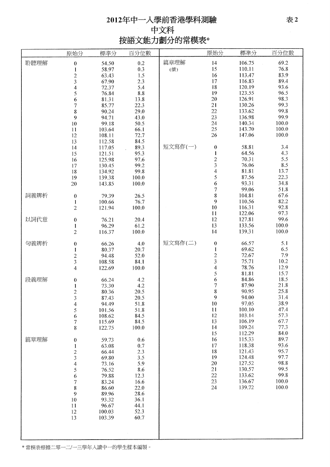# 2012年中一入學前香港學科測驗 中文科 按語文能力劃分的常模表\*

|      | 原始分                                                                                            | 標準分              | 百分位數         |         | 原始分              | 標準分             | 百分位數         |
|------|------------------------------------------------------------------------------------------------|------------------|--------------|---------|------------------|-----------------|--------------|
| 聆聽理解 | $\boldsymbol{0}$                                                                               | 54.50            | 0.2          | 篇章理解    | 14               | 106.75          | 69.2         |
|      | $\mathbf{l}$                                                                                   | 58.97            | 0.3          | (續)     | 15               | 110.11          | 76.8         |
|      |                                                                                                | 63.43            | 1.5          |         | 16               | 113.47          | 83.9         |
|      | $\frac{2}{3}$                                                                                  | 67.90            | 2.3          |         | 17               | 116.83          | 89.4         |
|      | $\overline{4}$                                                                                 | 72.37            | 5.4          |         | 18               | 120.19          | 93.6         |
|      | 5                                                                                              | 76.84            | $8.8\,$      |         | 19               | 123.55          | 96.5         |
|      | 6                                                                                              | 81.31            | 13.8         |         | 20               | 126.91          | 98.3         |
|      | $\boldsymbol{7}$                                                                               | 85.77            | 22.3         |         | 21               | 130.26          | 99.3         |
|      | 8                                                                                              | 90.24            | 29.0         |         | 22               | 133.62          | 99.8         |
|      | 9                                                                                              | 94.71            | 43.0         |         | 23               | 136.98          | 99.9         |
|      | $10\,$                                                                                         | 99.18            | 50.5         |         | 24               | 140.34          | 100.0        |
|      | 11                                                                                             | 103.64           | 66.1         |         | 25               | 143.70          | 100.0        |
|      | 12                                                                                             | 108.11           | 72.7         |         | 26               | 147.06          | 100.0        |
|      | 13                                                                                             | 112.58           | 84.5         |         |                  |                 |              |
|      | $\mathbf{14}$                                                                                  | 117.05           | 89.3         | 短文寫作(一) | $\boldsymbol{0}$ | 58.81           | 3.4          |
|      | 15                                                                                             | 121.51           | 95.3         |         | $\mathbf{l}$     | 64.56           | 4.3          |
|      | 16                                                                                             | 125.98           | 97.6         |         |                  | 70.31           | 5.5          |
|      | 17                                                                                             | 130.45           | 99.2         |         | $\frac{2}{3}$    | 76.06           | 8.5          |
|      | 18                                                                                             | 134.92           | 99.8         |         | $\overline{4}$   | 81.81           | 13.7         |
|      | 19                                                                                             | 139.38           | 100.0        |         | 5                | 87.56           | 22.3         |
|      | $20\,$                                                                                         | 143.85           | 100.0        |         | 6                | 93.31           | 34.8         |
|      |                                                                                                |                  |              |         | 7                | 99.06           | 51.8         |
| 詞義辨析 | $\boldsymbol{0}$                                                                               | 79.39            | 26.5         |         | 8                | 104.81          | 67.6         |
|      | 1                                                                                              | 100.66           | 76.7         |         | 9                | 110.56          | 82.2         |
|      | $\overline{c}$                                                                                 | 121.94           | 100.0        |         | 10               | 116.31          | 92.8         |
|      |                                                                                                |                  |              |         | 11               | 122.06          | 97.3         |
| 以詞代意 | $\pmb{0}$                                                                                      | 76.21            | 20.4         |         | 12               | 127.81          | 99.6         |
|      | 1                                                                                              | 96.29            | 61.2         |         | 13               | 133.56          | 100.0        |
|      | $\overline{c}$                                                                                 | 116.37           | 100.0        |         | 14               | 139.31          | 100.0        |
|      |                                                                                                |                  |              |         |                  |                 |              |
| 句義辨析 | $\boldsymbol{0}$                                                                               | 66.26            | 4.0          | 短文寫作(二) | $\boldsymbol{0}$ | 66.57           | 5.1          |
|      | 1                                                                                              | 80.37            | 20.7         |         | $\mathbf{1}$     | 69.62           | 6.5          |
|      | $\frac{2}{3}$                                                                                  | 94.48            | 52.0         |         | $\frac{2}{3}$    | 72.67           | 7.9          |
|      |                                                                                                | 108.58           | 84.1         |         |                  | 75.71           | 10.2         |
|      | $\overline{4}$                                                                                 | 122.69           | 100.0        |         | 4                | 78.76           | 12.9         |
|      |                                                                                                |                  |              |         | 5                | 81.81           | 15.7         |
| 段義理解 | $\bf{0}$                                                                                       | 66.24            | 4.2          |         | 6                | 84.86           | 18.5         |
|      | 1                                                                                              | 73.30            | 4.2          |         | 7                | 87.90           | 21.8         |
|      | $\overline{c}$                                                                                 | 80.36            | 20.5         |         | 8                | 90.95           | 25.8         |
|      | 3                                                                                              | 87.43            | 20.5         |         | $\boldsymbol{9}$ | 94.00           | 31.4         |
|      | $\overline{4}$                                                                                 | 94.49            | 51.8         |         | 10               | 97.05<br>100.10 | 38.9<br>47.4 |
|      | 5                                                                                              | 101.56           | 51.8         |         | 11<br>12         | 103.14          | 57.3         |
|      | 6                                                                                              | 108.62           | 84.5<br>84.5 |         | 13               | 106.19          | 67.7         |
|      | $\boldsymbol{7}$<br>8                                                                          | 115.69<br>122.75 | 100.0        |         | 14               | 109.24          | 77.3         |
|      |                                                                                                |                  |              |         | 15               | 112.29          | 84.0         |
| 篇章理解 | $\bf{0}$                                                                                       | 59.73            | 0.6          |         | 16               | 115.33          | 89.7         |
|      | $\mathbf{1}% _{i}\left  \mathbf{1}\right\rangle =\mathbf{1}_{i}\left  \mathbf{1}\right\rangle$ | 63.08            | 0.7          |         | 17               | 118.38          | 93.6         |
|      | $\overline{c}$                                                                                 | 66.44            | 2.3          |         | 18               | 121.43          | 95.7         |
|      | $\overline{\mathbf{3}}$                                                                        | 69.80            | 3.5          |         | 19               | 124.48          | 97.7         |
|      | 4                                                                                              | 73.16            | 5.9          |         | 20               | 127.52          | 98.8         |
|      | 5                                                                                              | 76.52            | 8.6          |         | 21               | 130.57          | 99.5         |
|      | 6                                                                                              | 79.88            | 12.3         |         | 22               | 133.62          | 99.8         |
|      | $\overline{7}$                                                                                 | 83.24            | 16.6         |         | 23               | 136.67          | 100.0        |
|      | 8                                                                                              | 86.60            | 22.0         |         | 24               | 139.72          | 100.0        |
|      | 9                                                                                              | 89.96            | 28.6         |         |                  |                 |              |
|      | 10                                                                                             | 93.32            | 36.1         |         |                  |                 |              |
|      | 11                                                                                             | 96.67            | 44.1         |         |                  |                 |              |
|      | 12                                                                                             | 100.03           | 52.3         |         |                  |                 |              |
|      | 13                                                                                             | 103.39           | 60.7         |         |                  |                 |              |
|      |                                                                                                |                  |              |         |                  |                 |              |
|      |                                                                                                |                  |              |         |                  |                 |              |
|      |                                                                                                |                  |              |         |                  |                 |              |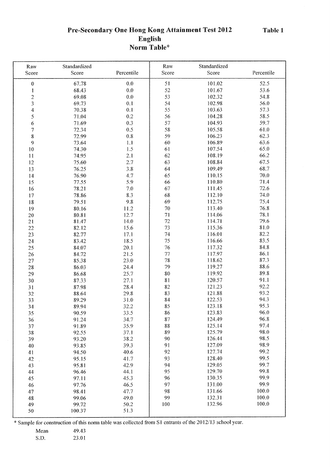Table 1

# Pre-Secondary One Hong Kong Attainment Test 2012 English Norm Table\*

| Raw                      | Standardized   |                  | Raw      | Standardized     |              |
|--------------------------|----------------|------------------|----------|------------------|--------------|
| Score                    | Score          | Percentile       | Score    | Score            | Percentile   |
| $\mathbf{0}$             | 67.78          | 0.0              | 51       | 101.02           | 52.5         |
| 1                        | 68.43          | 0.0              | 52       | 101.67           | 53.6         |
| $\overline{c}$           | 69.08          | 0.0              | 53       | 102.32           | 54.8         |
| $\overline{\mathbf{3}}$  | 69.73          | 0.1              | 54       | 102.98           | 56.0         |
| 4                        | 70.38          | 0.1              | 55       | 103.63           | 57.3         |
| 5                        | 71.04          | 0.2              | 56       | 104.28           | 58.5         |
| 6                        | 71.69          | 0.3              | 57       | 104.93           | 59.7         |
| $\overline{\mathcal{I}}$ | 72.34          | 0.5              | 58       | 105.58           | 61.0         |
| 8                        | 72.99          | 0.8              | 59       | 106.23           | 62.3         |
| 9                        | 73.64          | 1.1              | 60       | 106.89           | 63.6         |
| 10                       | 74.30          | 1.5              | 61       | 107.54           | 65.0         |
| 11                       | 74.95          | 2.1              | 62       | 108.19           | 66.2         |
| 12                       | 75.60          | 2.7              | 63       | 108.84           | 67.5         |
| 13                       | 76.25          | 3.8              | 64       | 109.49           | 68.7         |
|                          |                |                  | 65       | 110.15           | $70.0\,$     |
| 14                       | 76.90          | 4.7<br>5.9       | 66       | 110.80           | 71.4         |
| 15                       | 77.55          |                  | 67       |                  | 72.6         |
| 16                       | 78.21          | 7.0              |          | 111.45           |              |
| 17                       | 78.86          | 8.3              | 68       | 112.10           | 74.0         |
| 18                       | 79.51          | 9.8              | 69       | 112.75           | 75.4         |
| 19                       | 80.16          | 11.2             | 70       | 113.40           | 76.8         |
| 20                       | 80.81          | 12.7             | 71       | 114.06           | 78.1         |
| 21                       | 81.47          | 14.0             | 72       | 114.71           | 79.6         |
| 22                       | 82.12          | 15.6             | 73       | 115.36           | 81.0         |
| 23                       | 82.77          | 17.1             | 74       | 116.01           | 82.2         |
| 24                       | 83.42          | 18.5             | 75       | 116.66           | 83.5         |
| 25                       | 84.07          | 20.1             | 76       | 117.32           | 84.8         |
| 26                       | 84.72          | 21.5             | 77       | 117.97           | 86.1         |
| 27                       | 85.38          | 23.0             | 78<br>79 | 118.62           | 87.3<br>88.6 |
| 28                       | 86.03          | 24.4             |          | 119.27           | 89.8         |
| 29                       | 86.68          | 25.7             | 80       | 119.92<br>120.57 | 91.1         |
| 30                       | 87.33          | 27.1             | 81       |                  | 92.2         |
| 31                       | 87.98          | 28.4             | 82       | 121.23<br>121.88 | 93.2         |
| 32                       | 88.64          | 29.8             | 83       | 122.53           | 94.3         |
| 33                       | 89.29          | $31.0\,$<br>32.2 | 84<br>85 | 123.18           | 95.3         |
| 34                       | 89.94          |                  |          |                  |              |
| 35                       | 90.59          | 33.5             | 86<br>87 | 123.83<br>124.49 | 96.0<br>96.8 |
| 36                       | 91.24          | 34.7<br>35.9     | 88       | 125.14           | 97.4         |
| 37                       | 91.89<br>92.55 | 37.1             | 89       | 125.79           | 98.0         |
| 38<br>39                 | 93.20          | 38.2             | 90       | 126.44           | 98.5         |
|                          | 93.85          | 39.3             | 91       | 127.09           | 98.9         |
| 40<br>41                 | 94.50          | 40.6             | 92       | 127.74           | 99.2         |
|                          | 95.15          | 41.7             | 93       | 128.40           | 99.5         |
| 42                       | 95.81          | 42.9             | 94       | 129.05           | 99.7         |
| 43<br>44                 | 96.46          | 44.1             | 95       | 129.70           | 99.8         |
| 45                       | 97.11          | 45.3             | 96       | 130.35           | 99.9         |
| 46                       | 97.76          | 46.5             | 97       | 131.00           | 99.9         |
| 47                       | 98.41          | 47.7             | 98       | 131.66           | 100.0        |
| 48                       | 99.06          | 49.0             | 99       | 132.31           | 100.0        |
| 49                       | 99.72          | 50.2             | 100      | 132.96           | 100.0        |
| 50                       | 100.37         | 51.3             |          |                  |              |
|                          |                |                  |          |                  |              |

\* Sample for construction of this norm table was collected from S1 entrants of the 2012/13 school year.

49.43 Mean

23.01 S.D.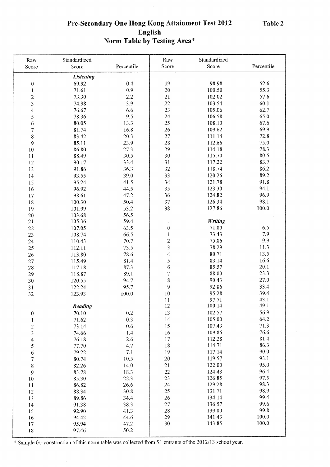# Pre-Secondary One Hong Kong Attainment Test 2012 English Norm Table by Testing Area\*

| Raw                      | Standardized     |            | Raw                     | Standardized   |            |
|--------------------------|------------------|------------|-------------------------|----------------|------------|
| Score                    | Score            | Percentile | Score                   | Score          | Percentile |
|                          | <b>Listening</b> |            |                         |                |            |
| $\pmb{0}$                | 69.92            | 0.4        | 19                      | 98.98          | 52.6       |
| 1                        | 71.61            | 0.9        | $20\,$                  | 100.50         | 55.3       |
| $\overline{c}$           | 73.30            | 2.2        | 21                      | 102.02         | 57.6       |
| $\overline{\mathbf{3}}$  | 74.98            | 3.9        | 22                      | 103.54         | 60.1       |
| $\boldsymbol{4}$         | 76.67            | 6.6        | 23                      | 105.06         | 62.7       |
| 5                        | 78.36            | 9.5        | 24                      | 106.58         | 65.0       |
| 6                        | 80.05            | 13.3       | 25                      | 108.10         | 67.6       |
| $\overline{7}$           | 81.74            | 16.8       | 26                      | 109.62         | 69.9       |
| 8                        | 83.42            | 20.3       | 27                      | 111.14         | 72.8       |
| 9                        | 85.11            | 23,9       | 28                      | 112.66         | 75.0       |
| 10                       | 86.80            | 27.3       | 29                      | 114.18         | 78.3       |
| 11                       | 88.49            | 30.5       | 30                      | 115.70         | 80.5       |
| 12                       | 90.17            | 33.4       | 31                      | 117.22         | 83.7       |
| 13                       | 91.86            | 36.3       | 32                      | 118.74         | 86.2       |
| 14                       | 93.55            | 39.0       | 33                      | 120.26         | 89.2       |
| 15                       | 95.24            | 41.5       | 34                      | 121.78         | 91.8       |
| 16                       | 96.92            | 44.5       | 35                      | 123.30         | 94.1       |
| 17                       | 98.61            | 47.2       | 36                      | 124.82         | 96.9       |
| 18                       | 100.30           | 50.4       | 37                      | 126.34         | 98.1       |
| 19                       | 101.99           | 53.2       | 38                      | 127.86         | 100.0      |
| 20                       | 103.68           | 56.5       |                         |                |            |
| 21                       | 105.36           | 59.4       |                         | <b>Writing</b> |            |
| 22                       | 107.05           | 63.5       | $\boldsymbol{0}$        | 71.00          | 6.5        |
| 23                       | 108.74           | 66.5       | $\mathbf{l}$            | 73.43          | 7.9        |
| 24                       | 110.43           | 70.7       | $\overline{c}$          | 75.86          | 9.9        |
| 25                       | 112.11           | 73.5       | $\overline{\mathbf{3}}$ | 78.29          | 11.3       |
| 26                       | 113.80           | 78.6       | $\frac{4}{3}$           | 80.71          | 13.5       |
| 27                       | 115.49           | 81.4       | 5                       | 83.14          | 16.6       |
| 28                       | 117.18           | 87.3       | 6                       | 85.57          | 20.1       |
| 29                       | 118.87           | 89.1       | $\boldsymbol{7}$        | 88.00          | 23.3       |
| 30                       | 120.55           | 94.7       | 8                       | 90.43          | 27.0       |
| 31                       | 122.24           | 95.7       | 9                       | 92.86          | 33.4       |
| 32                       | 123.93           | 100.0      | $10\,$                  | 95.28          | 39.4       |
|                          |                  |            | $\mathbf{11}$           | 97.71          | 43.1       |
|                          | <b>Reading</b>   |            | 12                      | 100.14         | 49.1       |
| $\boldsymbol{0}$         | 70.10            | 0.2        | 13                      | 102.57         | 56.9       |
| 1                        | 71.62            | 0.3        | 14                      | 105.00         | 64.2       |
| $\overline{\mathbf{c}}$  | 73.14            | 0.6        | 15                      | 107.43         | 71.3       |
| 3                        | 74.66            | 1.4        | 16                      | 109.86         | 76.6       |
| 4                        | 76.18            | 2.6        | 17                      | 112.28         | 81.4       |
| 5                        | 77.70            | 4.7        | 18                      | 114.71         | 86.3       |
| 6                        | 79.22            | 7.1        | 19                      | 117.14         | 90.0       |
| $\overline{\mathcal{I}}$ | 80.74            | 10.5       | 20                      | 119.57         | 93.1       |
| 8                        | 82.26            | 14.0       | 21                      | 122.00         | 95.0       |
| 9                        | 83.78            | 18.3       | 22                      | 124.43         | 96.4       |
| 10                       | 85.30            | 22.3       | 23                      | 126.85         | 97.5       |
| 11                       | 86.82            | 26.6       | 24                      | 129.28         | 98.3       |
| 12                       | 88.34            | 30.8       | 25                      | 131.71         | 98.9       |
| 13                       | 89.86            | 34.4       | 26                      | 134.14         | 99.4       |
| 14                       | 91.38            | 38.3       | 27                      | 136.57         | 99.6       |
| 15                       | 92.90            | 41.3       | 28                      | 139.00         | 99.8       |
| 16                       | 94.42            | 44.6       | 29                      | 141.43         | 100.0      |
| 17                       | 95.94            | 47.2       | 30                      | 143.85         | 100.0      |
| 18                       | 97.46            | 50.2       |                         |                |            |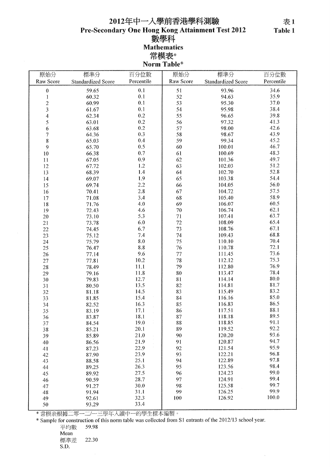# 2012年中一入學前香港學科測驗 Pre-Secondary One Hong Kong Attainment Test 2012<br>數學科 **Mathematics** 常模表\*<br>Norm Table\*

| 原始分            | 標準分                       | 百分位數       | 原始分       | 標準分                       | 百分位數       |
|----------------|---------------------------|------------|-----------|---------------------------|------------|
| Raw Score      | <b>Standardized Score</b> | Percentile | Raw Score | <b>Standardized Score</b> | Percentile |
|                | 59.65                     | 0.1        | 51        | 93.96                     | 34.6       |
| $\pmb{0}$<br>1 | 60.32                     | 0.1        | 52        | 94.63                     | 35.9       |
| $\overline{c}$ | 60.99                     | 0.1        | 53        | 95.30                     | 37.0       |
| 3              | 61.67                     | 0.1        | 54        | 95.98                     | 38.4       |
| 4              | 62.34                     | 0.2        | 55        | 96.65                     | 39.8       |
| 5              | 63.01                     | $0.2\,$    | 56        | 97.32                     | 41.3       |
| 6              | 63.68                     | 0.2        | 57        | 98.00                     | 42.6       |
| 7              | 64.36                     | 0.3        | 58        | 98.67                     | 43.9       |
| 8              | 65.03                     | 0.4        | 59        | 99.34                     | 45,2       |
| 9              | 65.70                     | 0.5        | 60        | 100.01                    | 46.7       |
| $10\,$         | 66.38                     | 0.7        | 61        | 100.69                    | 48.3       |
|                |                           | 0.9        | 62        | 101.36                    | 49.7       |
| 11             | 67.05                     | 1.2        | 63        | 102.03                    | 51.2       |
| 12             | 67.72                     |            |           |                           | 52.8       |
| 13             | 68.39                     | 1.4<br>1.9 | 64        | 102.70                    | 54.4       |
| 14             | 69.07                     |            | 65        | 103.38                    |            |
| 15             | 69.74                     | 2.2        | 66        | 104.05                    | 56.0       |
| 16             | 70.41                     | 2.8        | 67        | 104.72                    | 57.5       |
| 17             | 71.08                     | 3.4        | 68        | 105.40                    | 58.9       |
| 18             | 71.76                     | 4.0        | 69        | 106.07                    | 60.5       |
| 19             | 72.43                     | 4.6        | 70        | 106.74                    | 62.1       |
| $20\,$         | 73.10                     | 5.3        | 71        | 107.41                    | 63.7       |
| 21             | 73.78                     | 6.0        | 72        | 108.09                    | 65.4       |
| 22             | 74.45                     | 6.7        | 73        | 108.76                    | 67.1       |
| 23             | 75.12                     | 7.4        | 74        | 109.43                    | 68.8       |
| 24             | 75.79                     | 8.0        | 75        | 110.10                    | 70.4       |
| 25             | 76.47                     | $8.8\,$    | 76        | 110.78                    | 72.1       |
| 26             | 77.14                     | 9.6        | 77        | 111.45                    | 73.6       |
| 27             | 77.81                     | 10.2       | 78        | 112.12                    | 75.3       |
| 28             | 78.49                     | 11.1       | 79        | 112.80                    | 76.9       |
| 29             | 79.16                     | 11.8       | 80        | 113.47                    | 78.4       |
| 30             | 79.83                     | 12.7       | 81        | 114.14                    | 80.0       |
| 31             | 80.50                     | 13.5       | 82        | 114.81                    | 81.7       |
| 32             | 81.18                     | 14.5       | 83        | 115.49                    | 83.2       |
| 33             | 81.85                     | 15.4       | 84        | 116.16                    | 85.0       |
| 34             | 82.52                     | 16.3       | 85        | 116.83                    | 86.5       |
| 35             | 83.19                     | 17.1       | 86        | 117.51                    | 88.1       |
| 36             | 83.87                     | 18.1       | 87        | 118.18                    | 89.5       |
| 37             | 84.54                     | 19.0       | 88        | 118.85                    | 91.1       |
| 38             | 85.21                     | 20.1       | 89        | 119.52                    | 92.2       |
| 39             | 85.89                     | 21.0       | 90        | 120.20                    | 93.6       |
| 40             | 86.56                     | 21.9       | 91        | 120.87                    | 94.7       |
| 41             | 87.23                     | 22.9       | 92        | 121.54                    | 95.9       |
| 42             | 87.90                     | 23.9       | 93        | 122.21                    | 96.8       |
| 43             | 88.58                     | 25.1       | 94        | 122.89                    | 97.8       |
| 44             | 89.25                     | 26.3       | 95        | 123.56                    | 98.4       |
| 45             | 89.92                     | 27.5       | 96        | 124.23                    | 99.0       |
| 46             | 90.59                     | 28.7       | 97        | 124.91                    | 99.4       |
| 47             | 91.27                     | 30.0       | 98        | 125.58                    | 99.7       |
| 48             | 91.94                     | 31.1       | 99        | 126.25                    | 99.9       |
| 49             | 92.61                     | 32.3       | 100       | 126.92                    | 100.0      |
| 50             | 93.29                     | 33.4       |           |                           |            |

\* 常模表根據二零一二/一三學年入讀中一的學生樣本編製。<br>\* Sample for construction of this norm table was collected from S1 entrants of the 2012/13 school year. 59.98

平均數 Mean

標準差 22.30 S.D.

表1 Table 1

 $\bar{z}$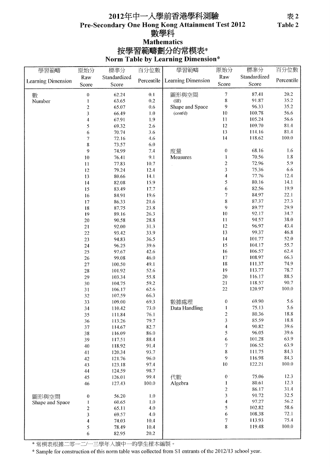# 2012年中一入學前香港學科測驗 Pre-Secondary One Hong Kong Attainment Test 2012 數學科 **Mathematics** 按學習範疇劃分的常模表\*<br>Norm Table by Learning Dimension\*

| 學習範疇               | 原始分              | 標準分          | 百分位數       | 學習範疇                   | 原始分                      | 標準分          | 百分位數       |
|--------------------|------------------|--------------|------------|------------------------|--------------------------|--------------|------------|
|                    | Raw              | Standardized |            |                        | Raw                      | Standardized |            |
| Learning Dimension | Score            | Score        | Percentile | Learning Dimension     | Score                    | Score        | Percentile |
|                    |                  |              |            |                        |                          | 87.41        | 20.2       |
| 數                  | $\pmb{0}$        | 62.24        | 0.1<br>0.2 | 圖形與空間                  | 7<br>8                   | 91.87        | 35.2       |
| Number             | 1                | 63.65        |            | (續)<br>Shape and Space | 9                        | 96.33        | 35.2       |
|                    | $\overline{c}$   | 65.07        | 0.6        |                        |                          |              |            |
|                    | 3                | 66.49        | $1.0$      | (cont'd)               | 10                       | 100.78       | 56.6       |
|                    | 4                | 67.91        | 1.9        |                        | 11                       | 105.24       | 56.6       |
|                    | 5                | 69.32        | 2.6        |                        | 12                       | 109.70       | 81.4       |
|                    | 6                | 70.74        | 3.6        |                        | 13                       | 114.16       | 81.4       |
|                    | $\boldsymbol{7}$ | 72.16        | 4.6        |                        | 14                       | 118.62       | 100.0      |
|                    | 8                | 73.57        | 6.0        |                        |                          |              |            |
|                    | 9                | 74.99        | 7.4        | 度量                     | $\boldsymbol{0}$         | 68.16        | 1.6        |
|                    | 10               | 76.41        | 9.1        | Measures               | 1                        | 70.56        | $1.8\,$    |
|                    | $11\,$           | 77.83        | 10.7       |                        | $\overline{c}$           | 72.96        | 5.9        |
|                    | 12               | 79.24        | 12.4       |                        | $\overline{\mathbf{3}}$  | 75.36        | 6.6        |
|                    | 13               | 80.66        | 14.1       |                        | 4                        | 77.76        | 12.4       |
|                    | 14               | 82.08        | 15.9       |                        | 5                        | 80.16        | 14.1       |
|                    | 15               | 83.49        | 17.7       |                        | 6                        | 82.56        | 19.9       |
|                    | 16               | 84.91        | 19.6       |                        | $\overline{\mathcal{U}}$ | 84.97        | 22.1       |
|                    | 17               | 86.33        | 21.6       |                        | 8                        | 87.37        | 27.3       |
|                    | 18               | 87.75        | 23.8       |                        | 9                        | 89.77        | 29.9       |
|                    | 19               | 89.16        | 26.3       |                        | 10                       | 92.17        | 34.7       |
|                    | 20               | 90.58        | 28.8       |                        | $\mathbf{11}$            | 94.57        | 38.0       |
|                    | 21               | 92.00        | 31.3       |                        | 12                       | 96.97        | 43.4       |
|                    | 22               | 93.42        | 33.9       |                        | 13                       | 99.37        | 46.8       |
|                    | 23               | 94.83        | 36.5       |                        | 14                       | 101.77       | 52.0       |
|                    |                  | 96.25        | 39.6       |                        | 15                       | 104.17       | 55.7       |
|                    | 24               | 97.67        | 42.6       |                        | 16                       | 106.57       | 62.4       |
|                    | 25               | 99.08        | 46.0       |                        | 17                       | 108.97       | 66.3       |
|                    | 26               |              |            |                        | 18                       | 111.37       | 74.9       |
|                    | 27               | 100.50       | 49.1       |                        | 19                       | 113.77       | 78.7       |
|                    | 28               | 101.92       | 52.6       |                        |                          |              |            |
|                    | 29               | 103.34       | 55.8       |                        | 20                       | 116.17       | 88.5       |
|                    | 30               | 104.75       | 59.2       |                        | 21                       | 118.57       | 90.7       |
|                    | 31               | 106.17       | 62.6       |                        | 22                       | 120.97       | 100.0      |
|                    | 32               | 107.59       | 66.3       |                        |                          |              |            |
|                    | 33               | 109.00       | 69.3       | 數據處理                   | $\theta$                 | 69.90        | 5.6        |
|                    | 34               | 110.42       | 73.0       | Data Handling          | I                        | 75.13        | 5.6        |
|                    | 35               | 111.84       | 76.1       |                        | $\overline{c}$           | 80.36        | 18.8       |
|                    | 36               | 113.26       | 79.7       |                        | 3                        | 85.59        | 18.8       |
|                    | 37               | 114.67       | 82.7       |                        | 4                        | 90.82        | 39.6       |
|                    | 38               | 116.09       | 86.0       |                        | 5                        | 96.05        | 39.6       |
|                    | 39               | 117.51       | 88.4       |                        | 6                        | 101.28       | 63.9       |
|                    | 40               | 118.92       | 91.4       |                        | $\overline{7}$           | 106.52       | 63.9       |
|                    | 41               | 120.34       | 93.7       |                        | 8                        | 111.75       | 84.3       |
|                    | 42               | 121.76       | 96.0       |                        | 9                        | 116.98       | 84.3       |
|                    | 43               | 123.18       | 97.4       |                        | $10\,$                   | 122.21       | 100.0      |
|                    | 44               | 124.59       | 98.7       |                        |                          |              |            |
|                    | 45               | 126.01       | 99.4       | 代數                     | $\bf{0}$                 | 75.06        | 12.3       |
|                    | 46               | 127.43       | 100.0      | Algebra                | 1                        | 80.61        | 12.3       |
|                    |                  |              |            |                        | $\overline{c}$           | 86.17        | 31.4       |
| 圖形與空間              | $\boldsymbol{0}$ | 56.20        | 1.0        |                        | 3                        | 91.72        | 32.5       |
| Shape and Space    | 1                | 60.65        | 1.0        |                        | 4                        | 97.27        | 56.2       |
|                    | $\boldsymbol{2}$ | 65.11        | 4.0        |                        | 5                        | 102.82       | 58.6       |
|                    | 3                | 69.57        | 4.0        |                        | 6                        | 108.38       | 72.1       |
|                    | 4                | 74.03        | 10.4       |                        | 7                        | 113.93       | 75.4       |
|                    | 5                | 78.49        | 10.4       |                        | 8                        | 119.48       | 100.0      |
|                    | 6                | 82.95        | 20.2       |                        |                          |              |            |
|                    |                  |              |            |                        |                          |              |            |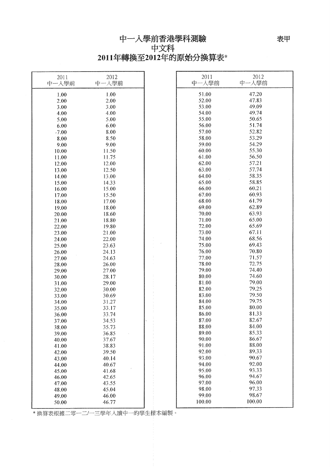# 中一入學前香港學科測驗<br>中文科 2011年轉換至2012年的原始分換算表\*

| 2011<br>中一入學前  | 2012<br>中一入學前  | 2011<br>中一入學前  | 2012<br>中一人學前  |
|----------------|----------------|----------------|----------------|
|                |                | 51.00          | 47.20          |
| 1.00           | 1.00           | 52.00          | 47.83          |
| 2.00           | 2.00           | 53.00          | 49.09          |
| 3.00           | 3.00           | 54.00          | 49.74          |
| 4.00           | 4.00           | 55.00          | 50.65          |
| 5.00           | 5.00           |                | 51.74          |
| 6.00           | 6.00           | 56.00          |                |
| $-7.00$        | 8.00           | 57.00          | 52.82          |
| 8.00           | 8.50           | 58.00          | 53.29          |
| 9.00           | 9.00           | 59.00          | 54.29          |
| 10.00          | 11.50          | 60.00          | 55.30          |
| 11.00          | 11.75          | 61.00          | 56.50          |
| 12.00          | 12.00          | 62.00          | 57.21          |
| 13.00          | 12.50          | 63.00          | 57.74          |
| 14.00          | 13.00          | 64.00          | 58.35          |
| 15.00          | 14.33          | 65.00          | 58.85          |
| 16.00          | 15.00          | 66.00          | 60.21          |
| 17.00          | 15.50          | 67.00          | 60.93          |
| 18.00          | 17.00          | 68.00          | 61.79          |
| 19.00          | 18.00          | 69.00          | 62.89          |
| 20.00          | 18.60          | 70.00          | 63.93          |
| 21.00          | 18.80          | 71.00          | 65.00          |
| 22.00          | 19.80          | 72.00          | 65.69          |
| 23.00          | 21.00          | 73.00          | 67.11          |
| 24.00          | 22.00          | 74.00          | 68.56          |
| 25.00          | 23.63          | 75.00          | 69.43          |
| 26.00          | 24.13          | 76.00          | 70.80          |
| 27.00          | 24.63          | 77.00          | 71.57<br>72.75 |
| 28.00          | 26.00          | 78.00<br>79.00 | 74.40          |
| 29.00          | 27.00          | 80.00          | 74.60          |
| 30.00          | 28.17<br>29.00 | 81.00          | 79.00          |
| 31.00          |                | 82.00          | 79.25          |
| 32.00          | 30.00<br>30.69 | 83.00          | 79.50          |
| 33.00<br>34.00 | 31.27          | 84.00          | 79.75          |
| 35.00          | 33.17          | 85.00          | 80.00          |
| 36.00          | 33.74          | 86.00          | 81.33          |
| 37.00          | 34.53          | 87.00          | 82.67          |
| 38.00          | 35.73          | 88.00          | 84.00          |
| 39.00          | 36.85          | 89.00          | 85.33          |
| 40.00          | 37.67          | 90.00          | 86.67          |
| 41.00          | 38.83          | 91.00          | 88.00          |
| 42.00          | 39.50          | 92.00          | 89.33          |
| 43.00          | 40.14          | 93.00          | 90.67          |
| 44.00          | 40.67          | 94.00          | 92.00          |
| 45.00          | 41.68          | 95.00          | 93.33          |
| 46.00          | 42.65          | 96.00          | 94.67          |
| 47.00          | 43.55          | 97.00          | 96.00          |
| 48.00          | 45.04          | 98.00          | 97.33          |
| 49.00          | 46.00          | 99.00          | 98.67          |
| 50.00          | 46.77          | 100.00         | 100.00         |

————————————————————<br>\* 換算表根據二零一二/一三學年入讀中一的學生樣本編製。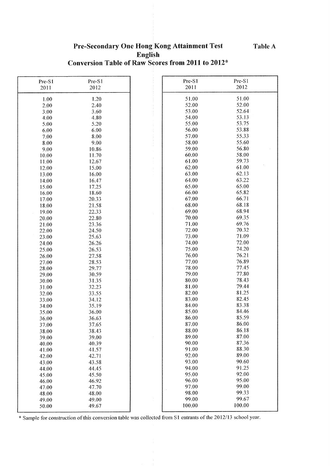## Pre-Secondary One Hong Kong Attainment Test English Conversion Table of Raw Scores from 2011 to 2012\*

| Pre-S1 | Pre-S1 | Pre-S1 | Pre-S1 |
|--------|--------|--------|--------|
| 2011   | 2012   | 2011   | 2012   |
|        |        |        |        |
| 1.00   | 1.20   | 51.00  | 51.00  |
| 2.00   | 2.40   | 52.00  | 52.00  |
| 3.00   | 3.60   | 53.00  | 52.64  |
| 4.00   | 4.80   | 54.00  | 53.13  |
| 5.00   | 5.20   | 55.00  | 53.75  |
| 6.00   | 6.00   | 56.00  | 53.88  |
| 7.00   | 8.00   | 57.00  | 55.33  |
| 8.00   | 9.00   | 58.00  | 55.60  |
| 9.00   | 10.86  | 59.00  | 56.80  |
| 10.00  | 11.70  | 60.00  | 58.00  |
| 11.00  | 12.67  | 61.00  | 59.73  |
| 12.00  | 15.00  | 62.00  | 61.00  |
| 13.00  | 16.00  | 63.00  | 62.13  |
| 14.00  | 16.47  | 64.00  | 63.22  |
| 15.00  | 17.25  | 65.00  | 65.00  |
| 16.00  | 18.60  | 66.00  | 65.82  |
|        |        | 67.00  | 66.71  |
| 17.00  | 20.33  | 68.00  | 68.18  |
| 18.00  | 21.58  | 69.00  | 68.94  |
| 19.00  | 22.33  |        |        |
| 20.00  | 22.80  | 70.00  | 69.35  |
| 21.00  | 23.36  | 71.00  | 69.76  |
| 22.00  | 24.50  | 72.00  | 70.32  |
| 23.00  | 25.63  | 73.00  | 71.09  |
| 24.00  | 26.26  | 74.00  | 72.00  |
| 25.00  | 26.53  | 75.00  | 74.20  |
| 26.00  | 27.58  | 76.00  | 76.21  |
| 27.00  | 28.53  | 77.00  | 76.89  |
| 28.00  | 29.77  | 78.00  | 77.45  |
| 29.00  | 30.59  | 79.00  | 77.80  |
| 30.00  | 31.35  | 80.00  | 78.43  |
| 31.00  | 32.23  | 81.00  | 79.44  |
| 32.00  | 33.55  | 82.00  | 81.25  |
| 33.00  | 34.12  | 83.00  | 82.45  |
| 34.00  | 35.19  | 84.00  | 83.38  |
| 35.00  | 36.00  | 85.00  | 84.46  |
| 36.00  | 36.63  | 86.00  | 85.59  |
| 37.00  | 37.65  | 87.00  | 86.00  |
| 38.00  | 38.43  | 88.00  | 86.18  |
| 39.00  | 39.00  | 89.00  | 87.00  |
| 40.00  | 40.39  | 90.00  | 87.36  |
| 41.00  | 41.57  | 91.00  | 88.30  |
| 42.00  | 42.71  | 92.00  | 89.00  |
| 43.00  | 43.58  | 93.00  | 90.60  |
| 44,00  | 44.45  | 94.00  | 91.25  |
| 45.00  | 45.50  | 95.00  | 92.00  |
| 46.00  | 46.92  | 96.00  | 95.00  |
| 47.00  | 47.70  | 97.00  | 99.00  |
| 48.00  | 48.00  | 98.00  | 99.33  |
| 49.00  | 49.00  | 99.00  | 99.67  |
| 50.00  | 49.67  | 100.00 | 100.00 |
|        |        |        |        |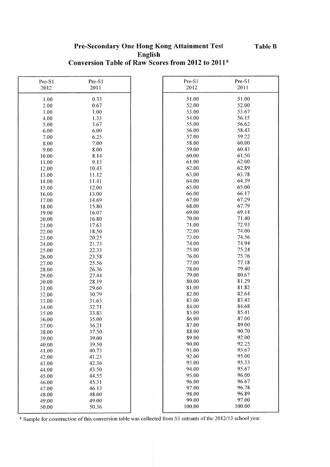## Pre-Secondary One Hong Kong Attainment Test English Conversion Table of Raw Scores from 2012 to 2011\*

| Pre-S1         | Pre-S1         |                  | Pre-S1 | Pre-S1 |
|----------------|----------------|------------------|--------|--------|
| 2012           | 2011           |                  | 2012   | 2011   |
| 1.00           | 0.33           |                  | 51.00  | 51.00  |
| 2.00           | 0.67           |                  | 52.00  | 52.00  |
| 3.00           | 1.00           |                  | 53.00  | 53.67  |
| 4.00           | 1.33           |                  | 54.00  | 56.15  |
| 5.00           | 3.67           |                  | 55.00  | 56.62  |
| 6.00           | 6.00           |                  | 56.00  | 58.43  |
| 7.00           | 6.25           |                  | 57.00  | 59.22  |
| 8.00           | 7.00           |                  | 58.00  | 60.00  |
| 9.00           | 8.00           |                  | 59.00  | 60.43  |
| 10.00          | 8.14           |                  | 60.00  | 61.50  |
| 11.00          | 9.13           |                  | 61.00  | 62.00  |
| 12.00          | 10.43          |                  | 62.00  | 62.89  |
|                | 11.12          |                  | 63.00  | 63.78  |
| 13.00          |                |                  | 64.00  | 64.39  |
| 14.00          | 11.41          |                  | 65.00  | 65.00  |
| 15.00          | 12.00          |                  | 66.00  | 66.17  |
| 16.00          | 13.00          |                  | 67.00  | 67.29  |
| 17.00          | 14.69          |                  | 68.00  | 67.79  |
| 18.00          | 15.80          |                  | 69.00  | 69.14  |
| 19.00          | 16.07          |                  | 70.00  | 71.40  |
| 20.00          | 16.80          |                  | 71.00  | 72.93  |
| 21.00          | 17.63          |                  | 72.00  | 74.00  |
| 22.00          | 18.50          |                  | 73.00  | 74.56  |
| 23.00          | 20.25<br>21.73 |                  | 74.00  | 74.94  |
| 24.00          | 22.33          |                  | 75.00  | 75.24  |
| 25.00          | 23.58          |                  | 76.00  | 75.76  |
| 26.00<br>27.00 | 25.56          |                  | 77.00  | 77.18  |
| 28.00          | 26.36          |                  | 78.00  | 79.40  |
| 29.00          | 27.44          |                  | 79.00  | 80.67  |
| 30.00          | 28.19          |                  | 80.00  | 81.29  |
| 31.00          | 29.60          |                  | 81.00  | 81.82  |
| 32.00          | 30.79          |                  | 82.00  | 82.64  |
| 33.00          | 31.63          |                  | 83.00  | 83.43  |
| 34.00          | 32.71          |                  | 84.00  | 84.68  |
| 35.00          | 33.83          |                  | 85.00  | 85.41  |
| 36.00          | 35.00          |                  | 86.00  | 87.00  |
| 37.00          | 36.21          |                  | 87.00  | 89.00  |
| 38.00          | 37.50          |                  | 88.00  | 90.70  |
| 39.00          | 39.00          | $\sim$<br>$\sim$ | 89.00  | 92.00  |
| 40.00          | 39.50          |                  | 90.00  | 92.25  |
| 41.00          | 40.73          |                  | 91.00  | 93.67  |
| 42.00          | 41.23          |                  | 92.00  | 95.00  |
| 43.00          | 42.36          |                  | 93.00  | 95.33  |
| 44.00          | 43.50          |                  | 94.00  | 95.67  |
| 45.00          | 44.55          | $\frac{1}{2}$    | 95.00  | 96.00  |
| 46.00          | 45.31          | $\pm$            | 96.00  | 96.67  |
| 47.00          | 46.13          |                  | 97.00  | 96.78  |
| 48.00          | 48.00          |                  | 98.00  | 96.89  |
| 49.00          | 49.00          |                  | 99.00  | 97.00  |
| 50.00          | 50.36          |                  | 100.00 | 100.00 |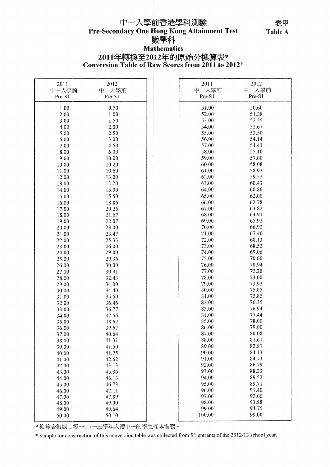# 中一入學前香港學科測驗 Pre-Secondary One Hong Kong Attainment Test<br>數學科 **Mathematics**

# 2011年轉換至2012年的原始分換算表\*<br>Conversion Table of Raw Scores from 2011 to 2012\*

| 2011   | 2012   | 2011   | 2012   |
|--------|--------|--------|--------|
| 中一入學前  | 中一人學前  | 中一入學前  | 中一入學前  |
| Pre-S1 | Pre-S1 | Pre-S1 | Pre-S1 |
| 1.00   | 0.50   | 51.00  | 50.60  |
| 2.00   | 1.00   | 52.00  | 51.38  |
| 3.00   | 1.50   | 53.00  | 52.25  |
| 4.00   | 2.00   | 54.00  | 52.67  |
| 5.00   | 2.50   | 55.00  | 53.50  |
| 6.00   | 3.00   | 56.00  | 54.14  |
|        | 4.50   | 57.00  | 54.43  |
| 7.00   |        | 58.00  | 55.10  |
| 8.00   | 6.00   | 59.00  | 57.00  |
| 9.00   | 10.00  |        |        |
| 10.00  | 10.20  | 60.00  | 58.08  |
| 11.00  | 10.60  | 61.00  | 58.92  |
| 12.00  | 13.00  | 62.00  | 59.52  |
| 13.00  | 13.20  | 63.00  | 60.43  |
| 14.00  | 15.00  | 64.00  | 60.86  |
| 15.00  | 15.50  | 65.00  | 62.00  |
| 16.00  | 18.86  | 66.00  | 62.78  |
| 17.00  | 20.26  | 67.00  | 63.82  |
| 18.00  | 21.67  | 68.00  | 64.91  |
| 19.00  | 22.07  | 69.00  | 65.92  |
| 20.00  | 23.00  | 70.00  | 66.92  |
| 21.00  | 23.47  | 71.00  | 67.40  |
| 22.00  | 25.33  | 72.00  | 68.13  |
| 23.00  | 26.00  | 73.00  | 68.52  |
| 24.00  | 29.00  | 74.00  | 69.06  |
| 25.00  | 29.36  | 75.00  | 70.00  |
| 26.00  | 30.00  | 76.00  | 70.94  |
| 27.00  | 30.91  | 77.00  | 72.20  |
| 28.00  | 32.43  | 78.00  | 73.00  |
| 29.00  | 34.00  | 79.00  | 73.92  |
| 30.00  | 34.40  | 80.00  | 75.05  |
| 31.00  | 35.50  | 81.00  | 75.85  |
| 32.00  | 36.46  | 82.00  | 76.35  |
| 33.00  | 36.77  | 83.00  | 76.94  |
| 34.00  | 37.56  | 84.00  | 77.44  |
| 35.00  | 38.67  | 85.00  | 78.00  |
| 36.00  | 39.67  | 86.00  | 79.00  |
| 37.00  | 40.64  | 87.00  | 80.08  |
| 38.00  | 41.31  | 88.00  | 81.61  |
| 39.00  | 41.50  | 89.00  | 82.81  |
| 40.00  | 41.75  | 90.00  | 84.13  |
| 41.00  | 42.62  | 91.00  | 84.73  |
| 42.00  | 43.13  | 92.00  | 86.79  |
| 43.00  | 45.36  | 93.00  | 88.33  |
| 44.00  | 46.13  | 94.00  | 89.52  |
| 45.00  | 46.73  | 95.00  | 89.71  |
| 46.00  | 47.11  | 96.00  | 91.40  |
| 47.00  | 47.89  | 97.00  | 92.00  |
| 48.00  | 49.00  | 98.00  | 93.88  |
| 49.00  | 49.64  | 99.00  | 94.75  |
| 50.00  | 50.10  | 100.00 | 99.00  |
|        |        |        |        |

\* 换算表根據二零一二/一三學年入讀中一的學生樣本編製。